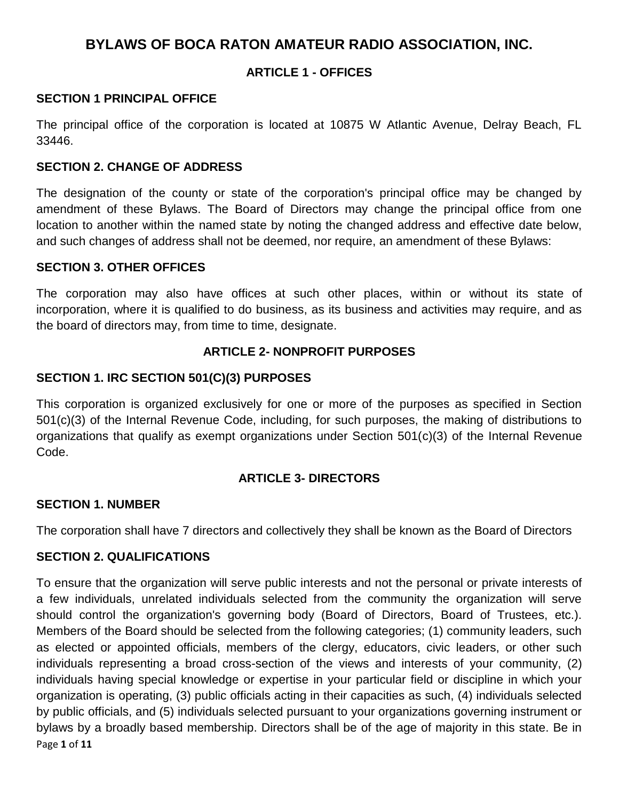### **ARTICLE 1 - OFFICES**

#### **SECTION 1 PRINCIPAL OFFICE**

The principal office of the corporation is located at 10875 W Atlantic Avenue, Delray Beach, FL 33446.

#### **SECTION 2. CHANGE OF ADDRESS**

The designation of the county or state of the corporation's principal office may be changed by amendment of these Bylaws. The Board of Directors may change the principal office from one location to another within the named state by noting the changed address and effective date below, and such changes of address shall not be deemed, nor require, an amendment of these Bylaws:

#### **SECTION 3. OTHER OFFICES**

The corporation may also have offices at such other places, within or without its state of incorporation, where it is qualified to do business, as its business and activities may require, and as the board of directors may, from time to time, designate.

### **ARTICLE 2- NONPROFIT PURPOSES**

### **SECTION 1. IRC SECTION 501(C)(3) PURPOSES**

This corporation is organized exclusively for one or more of the purposes as specified in Section 501(c)(3) of the Internal Revenue Code, including, for such purposes, the making of distributions to organizations that qualify as exempt organizations under Section 501(c)(3) of the Internal Revenue Code.

### **ARTICLE 3- DIRECTORS**

#### **SECTION 1. NUMBER**

The corporation shall have 7 directors and collectively they shall be known as the Board of Directors

### **SECTION 2. QUALIFICATIONS**

Page **1** of **11** To ensure that the organization will serve public interests and not the personal or private interests of a few individuals, unrelated individuals selected from the community the organization will serve should control the organization's governing body (Board of Directors, Board of Trustees, etc.). Members of the Board should be selected from the following categories; (1) community leaders, such as elected or appointed officials, members of the clergy, educators, civic leaders, or other such individuals representing a broad cross-section of the views and interests of your community, (2) individuals having special knowledge or expertise in your particular field or discipline in which your organization is operating, (3) public officials acting in their capacities as such, (4) individuals selected by public officials, and (5) individuals selected pursuant to your organizations governing instrument or bylaws by a broadly based membership. Directors shall be of the age of majority in this state. Be in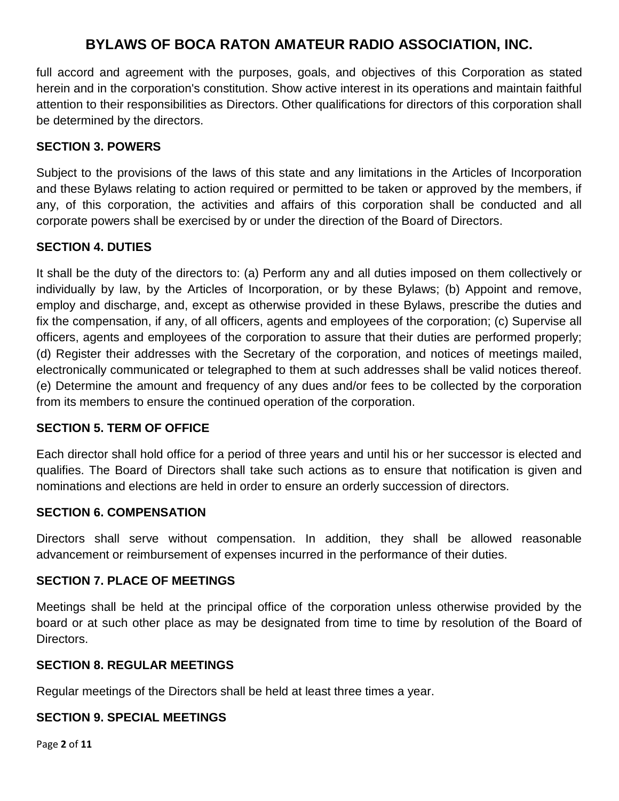full accord and agreement with the purposes, goals, and objectives of this Corporation as stated herein and in the corporation's constitution. Show active interest in its operations and maintain faithful attention to their responsibilities as Directors. Other qualifications for directors of this corporation shall be determined by the directors.

### **SECTION 3. POWERS**

Subject to the provisions of the laws of this state and any limitations in the Articles of Incorporation and these Bylaws relating to action required or permitted to be taken or approved by the members, if any, of this corporation, the activities and affairs of this corporation shall be conducted and all corporate powers shall be exercised by or under the direction of the Board of Directors.

### **SECTION 4. DUTIES**

It shall be the duty of the directors to: (a) Perform any and all duties imposed on them collectively or individually by law, by the Articles of Incorporation, or by these Bylaws; (b) Appoint and remove, employ and discharge, and, except as otherwise provided in these Bylaws, prescribe the duties and fix the compensation, if any, of all officers, agents and employees of the corporation; (c) Supervise all officers, agents and employees of the corporation to assure that their duties are performed properly; (d) Register their addresses with the Secretary of the corporation, and notices of meetings mailed, electronically communicated or telegraphed to them at such addresses shall be valid notices thereof. (e) Determine the amount and frequency of any dues and/or fees to be collected by the corporation from its members to ensure the continued operation of the corporation.

### **SECTION 5. TERM OF OFFICE**

Each director shall hold office for a period of three years and until his or her successor is elected and qualifies. The Board of Directors shall take such actions as to ensure that notification is given and nominations and elections are held in order to ensure an orderly succession of directors.

### **SECTION 6. COMPENSATION**

Directors shall serve without compensation. In addition, they shall be allowed reasonable advancement or reimbursement of expenses incurred in the performance of their duties.

### **SECTION 7. PLACE OF MEETINGS**

Meetings shall be held at the principal office of the corporation unless otherwise provided by the board or at such other place as may be designated from time to time by resolution of the Board of Directors.

### **SECTION 8. REGULAR MEETINGS**

Regular meetings of the Directors shall be held at least three times a year.

### **SECTION 9. SPECIAL MEETINGS**

Page **2** of **11**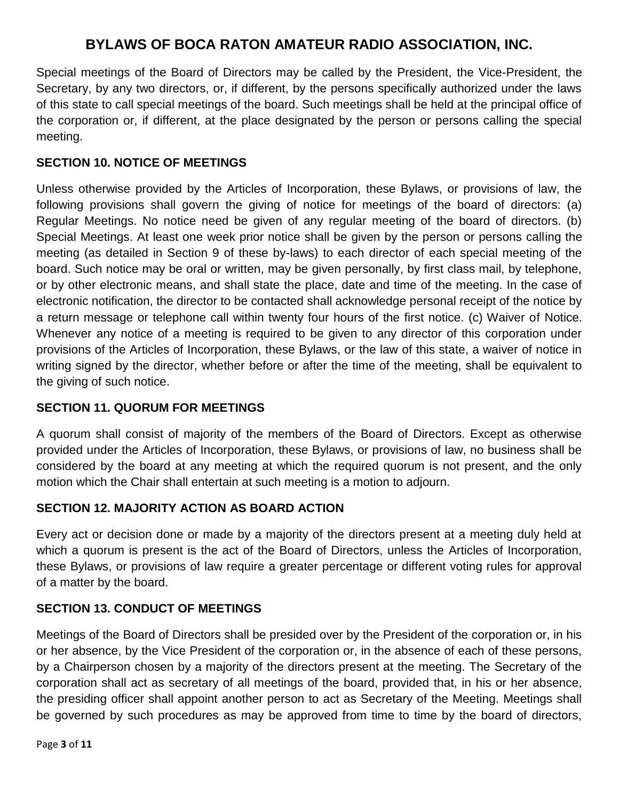Special meetings of the Board of Directors may be called by the President, the Vice-President, the Secretary, by any two directors, or, if different, by the persons specifically authorized under the laws of this state to call special meetings of the board. Such meetings shall be held at the principal office of the corporation or, if different, at the place designated by the person or persons calling the special meeting.

### **SECTION 10. NOTICE OF MEETINGS**

Unless otherwise provided by the Articles of Incorporation, these Bylaws, or provisions of law, the following provisions shall govern the giving of notice for meetings of the board of directors: (a) Regular Meetings. No notice need be given of any regular meeting of the board of directors. (b) Special Meetings. At least one week prior notice shall be given by the person or persons calling the meeting (as detailed in Section 9 of these by-laws) to each director of each special meeting of the board. Such notice may be oral or written, may be given personally, by first class mail, by telephone, or by other electronic means, and shall state the place, date and time of the meeting. In the case of electronic notification, the director to be contacted shall acknowledge personal receipt of the notice by a return message or telephone call within twenty four hours of the first notice. (c) Waiver of Notice. Whenever any notice of a meeting is required to be given to any director of this corporation under provisions of the Articles of Incorporation, these Bylaws, or the law of this state, a waiver of notice in writing signed by the director, whether before or after the time of the meeting, shall be equivalent to the giving of such notice.

### **SECTION 11. QUORUM FOR MEETINGS**

A quorum shall consist of majority of the members of the Board of Directors. Except as otherwise provided under the Articles of Incorporation, these Bylaws, or provisions of law, no business shall be considered by the board at any meeting at which the required quorum is not present, and the only motion which the Chair shall entertain at such meeting is a motion to adjourn.

### **SECTION 12. MAJORITY ACTION AS BOARD ACTION**

Every act or decision done or made by a majority of the directors present at a meeting duly held at which a quorum is present is the act of the Board of Directors, unless the Articles of Incorporation, these Bylaws, or provisions of law require a greater percentage or different voting rules for approval of a matter by the board.

## **SECTION 13. CONDUCT OF MEETINGS**

Meetings of the Board of Directors shall be presided over by the President of the corporation or, in his or her absence, by the Vice President of the corporation or, in the absence of each of these persons, by a Chairperson chosen by a majority of the directors present at the meeting. The Secretary of the corporation shall act as secretary of all meetings of the board, provided that, in his or her absence, the presiding officer shall appoint another person to act as Secretary of the Meeting. Meetings shall be governed by such procedures as may be approved from time to time by the board of directors,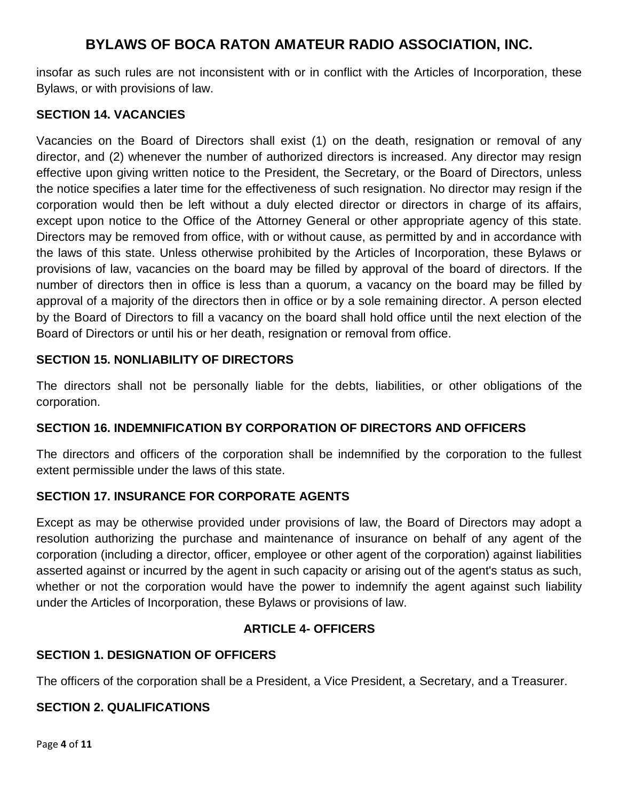insofar as such rules are not inconsistent with or in conflict with the Articles of Incorporation, these Bylaws, or with provisions of law.

### **SECTION 14. VACANCIES**

Vacancies on the Board of Directors shall exist (1) on the death, resignation or removal of any director, and (2) whenever the number of authorized directors is increased. Any director may resign effective upon giving written notice to the President, the Secretary, or the Board of Directors, unless the notice specifies a later time for the effectiveness of such resignation. No director may resign if the corporation would then be left without a duly elected director or directors in charge of its affairs, except upon notice to the Office of the Attorney General or other appropriate agency of this state. Directors may be removed from office, with or without cause, as permitted by and in accordance with the laws of this state. Unless otherwise prohibited by the Articles of Incorporation, these Bylaws or provisions of law, vacancies on the board may be filled by approval of the board of directors. If the number of directors then in office is less than a quorum, a vacancy on the board may be filled by approval of a majority of the directors then in office or by a sole remaining director. A person elected by the Board of Directors to fill a vacancy on the board shall hold office until the next election of the Board of Directors or until his or her death, resignation or removal from office.

### **SECTION 15. NONLIABILITY OF DIRECTORS**

The directors shall not be personally liable for the debts, liabilities, or other obligations of the corporation.

## **SECTION 16. INDEMNIFICATION BY CORPORATION OF DIRECTORS AND OFFICERS**

The directors and officers of the corporation shall be indemnified by the corporation to the fullest extent permissible under the laws of this state.

## **SECTION 17. INSURANCE FOR CORPORATE AGENTS**

Except as may be otherwise provided under provisions of law, the Board of Directors may adopt a resolution authorizing the purchase and maintenance of insurance on behalf of any agent of the corporation (including a director, officer, employee or other agent of the corporation) against liabilities asserted against or incurred by the agent in such capacity or arising out of the agent's status as such, whether or not the corporation would have the power to indemnify the agent against such liability under the Articles of Incorporation, these Bylaws or provisions of law.

### **ARTICLE 4- OFFICERS**

### **SECTION 1. DESIGNATION OF OFFICERS**

The officers of the corporation shall be a President, a Vice President, a Secretary, and a Treasurer.

### **SECTION 2. QUALIFICATIONS**

Page **4** of **11**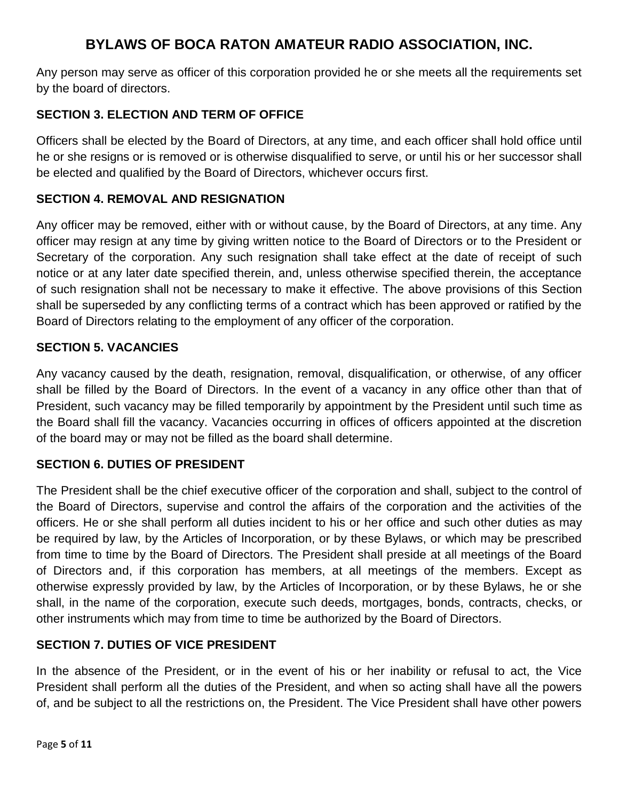Any person may serve as officer of this corporation provided he or she meets all the requirements set by the board of directors.

### **SECTION 3. ELECTION AND TERM OF OFFICE**

Officers shall be elected by the Board of Directors, at any time, and each officer shall hold office until he or she resigns or is removed or is otherwise disqualified to serve, or until his or her successor shall be elected and qualified by the Board of Directors, whichever occurs first.

### **SECTION 4. REMOVAL AND RESIGNATION**

Any officer may be removed, either with or without cause, by the Board of Directors, at any time. Any officer may resign at any time by giving written notice to the Board of Directors or to the President or Secretary of the corporation. Any such resignation shall take effect at the date of receipt of such notice or at any later date specified therein, and, unless otherwise specified therein, the acceptance of such resignation shall not be necessary to make it effective. The above provisions of this Section shall be superseded by any conflicting terms of a contract which has been approved or ratified by the Board of Directors relating to the employment of any officer of the corporation.

### **SECTION 5. VACANCIES**

Any vacancy caused by the death, resignation, removal, disqualification, or otherwise, of any officer shall be filled by the Board of Directors. In the event of a vacancy in any office other than that of President, such vacancy may be filled temporarily by appointment by the President until such time as the Board shall fill the vacancy. Vacancies occurring in offices of officers appointed at the discretion of the board may or may not be filled as the board shall determine.

### **SECTION 6. DUTIES OF PRESIDENT**

The President shall be the chief executive officer of the corporation and shall, subject to the control of the Board of Directors, supervise and control the affairs of the corporation and the activities of the officers. He or she shall perform all duties incident to his or her office and such other duties as may be required by law, by the Articles of Incorporation, or by these Bylaws, or which may be prescribed from time to time by the Board of Directors. The President shall preside at all meetings of the Board of Directors and, if this corporation has members, at all meetings of the members. Except as otherwise expressly provided by law, by the Articles of Incorporation, or by these Bylaws, he or she shall, in the name of the corporation, execute such deeds, mortgages, bonds, contracts, checks, or other instruments which may from time to time be authorized by the Board of Directors.

### **SECTION 7. DUTIES OF VICE PRESIDENT**

In the absence of the President, or in the event of his or her inability or refusal to act, the Vice President shall perform all the duties of the President, and when so acting shall have all the powers of, and be subject to all the restrictions on, the President. The Vice President shall have other powers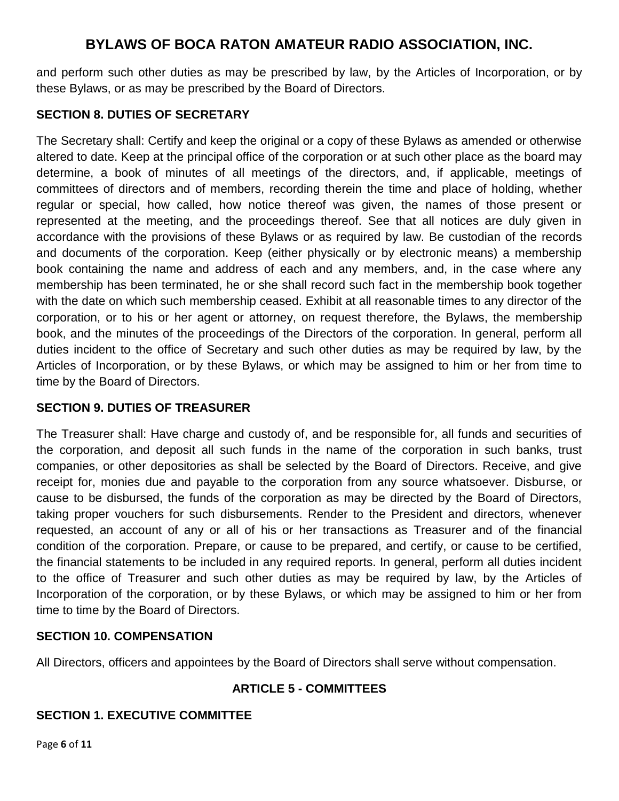and perform such other duties as may be prescribed by law, by the Articles of Incorporation, or by these Bylaws, or as may be prescribed by the Board of Directors.

### **SECTION 8. DUTIES OF SECRETARY**

The Secretary shall: Certify and keep the original or a copy of these Bylaws as amended or otherwise altered to date. Keep at the principal office of the corporation or at such other place as the board may determine, a book of minutes of all meetings of the directors, and, if applicable, meetings of committees of directors and of members, recording therein the time and place of holding, whether regular or special, how called, how notice thereof was given, the names of those present or represented at the meeting, and the proceedings thereof. See that all notices are duly given in accordance with the provisions of these Bylaws or as required by law. Be custodian of the records and documents of the corporation. Keep (either physically or by electronic means) a membership book containing the name and address of each and any members, and, in the case where any membership has been terminated, he or she shall record such fact in the membership book together with the date on which such membership ceased. Exhibit at all reasonable times to any director of the corporation, or to his or her agent or attorney, on request therefore, the Bylaws, the membership book, and the minutes of the proceedings of the Directors of the corporation. In general, perform all duties incident to the office of Secretary and such other duties as may be required by law, by the Articles of Incorporation, or by these Bylaws, or which may be assigned to him or her from time to time by the Board of Directors.

## **SECTION 9. DUTIES OF TREASURER**

The Treasurer shall: Have charge and custody of, and be responsible for, all funds and securities of the corporation, and deposit all such funds in the name of the corporation in such banks, trust companies, or other depositories as shall be selected by the Board of Directors. Receive, and give receipt for, monies due and payable to the corporation from any source whatsoever. Disburse, or cause to be disbursed, the funds of the corporation as may be directed by the Board of Directors, taking proper vouchers for such disbursements. Render to the President and directors, whenever requested, an account of any or all of his or her transactions as Treasurer and of the financial condition of the corporation. Prepare, or cause to be prepared, and certify, or cause to be certified, the financial statements to be included in any required reports. In general, perform all duties incident to the office of Treasurer and such other duties as may be required by law, by the Articles of Incorporation of the corporation, or by these Bylaws, or which may be assigned to him or her from time to time by the Board of Directors.

### **SECTION 10. COMPENSATION**

All Directors, officers and appointees by the Board of Directors shall serve without compensation.

# **ARTICLE 5 - COMMITTEES**

## **SECTION 1. EXECUTIVE COMMITTEE**

Page **6** of **11**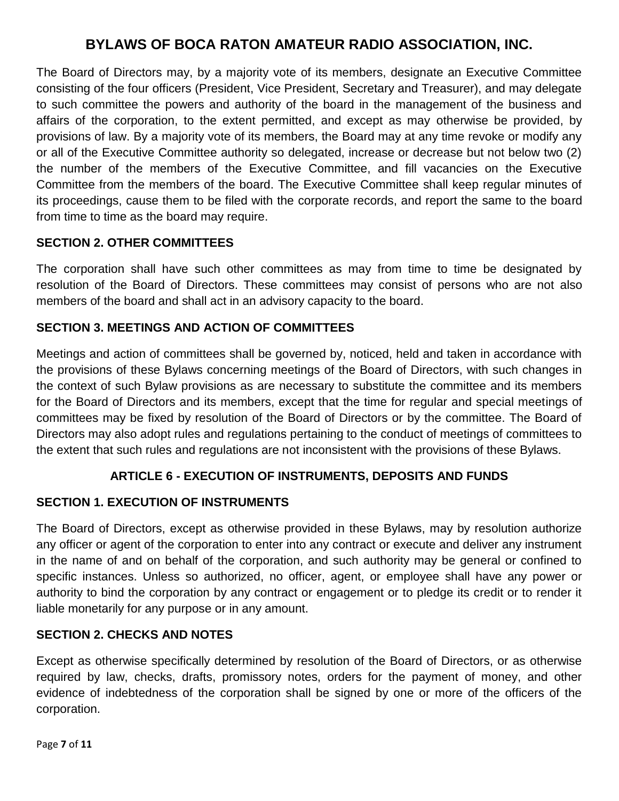The Board of Directors may, by a majority vote of its members, designate an Executive Committee consisting of the four officers (President, Vice President, Secretary and Treasurer), and may delegate to such committee the powers and authority of the board in the management of the business and affairs of the corporation, to the extent permitted, and except as may otherwise be provided, by provisions of law. By a majority vote of its members, the Board may at any time revoke or modify any or all of the Executive Committee authority so delegated, increase or decrease but not below two (2) the number of the members of the Executive Committee, and fill vacancies on the Executive Committee from the members of the board. The Executive Committee shall keep regular minutes of its proceedings, cause them to be filed with the corporate records, and report the same to the board from time to time as the board may require.

### **SECTION 2. OTHER COMMITTEES**

The corporation shall have such other committees as may from time to time be designated by resolution of the Board of Directors. These committees may consist of persons who are not also members of the board and shall act in an advisory capacity to the board.

## **SECTION 3. MEETINGS AND ACTION OF COMMITTEES**

Meetings and action of committees shall be governed by, noticed, held and taken in accordance with the provisions of these Bylaws concerning meetings of the Board of Directors, with such changes in the context of such Bylaw provisions as are necessary to substitute the committee and its members for the Board of Directors and its members, except that the time for regular and special meetings of committees may be fixed by resolution of the Board of Directors or by the committee. The Board of Directors may also adopt rules and regulations pertaining to the conduct of meetings of committees to the extent that such rules and regulations are not inconsistent with the provisions of these Bylaws.

## **ARTICLE 6 - EXECUTION OF INSTRUMENTS, DEPOSITS AND FUNDS**

### **SECTION 1. EXECUTION OF INSTRUMENTS**

The Board of Directors, except as otherwise provided in these Bylaws, may by resolution authorize any officer or agent of the corporation to enter into any contract or execute and deliver any instrument in the name of and on behalf of the corporation, and such authority may be general or confined to specific instances. Unless so authorized, no officer, agent, or employee shall have any power or authority to bind the corporation by any contract or engagement or to pledge its credit or to render it liable monetarily for any purpose or in any amount.

### **SECTION 2. CHECKS AND NOTES**

Except as otherwise specifically determined by resolution of the Board of Directors, or as otherwise required by law, checks, drafts, promissory notes, orders for the payment of money, and other evidence of indebtedness of the corporation shall be signed by one or more of the officers of the corporation.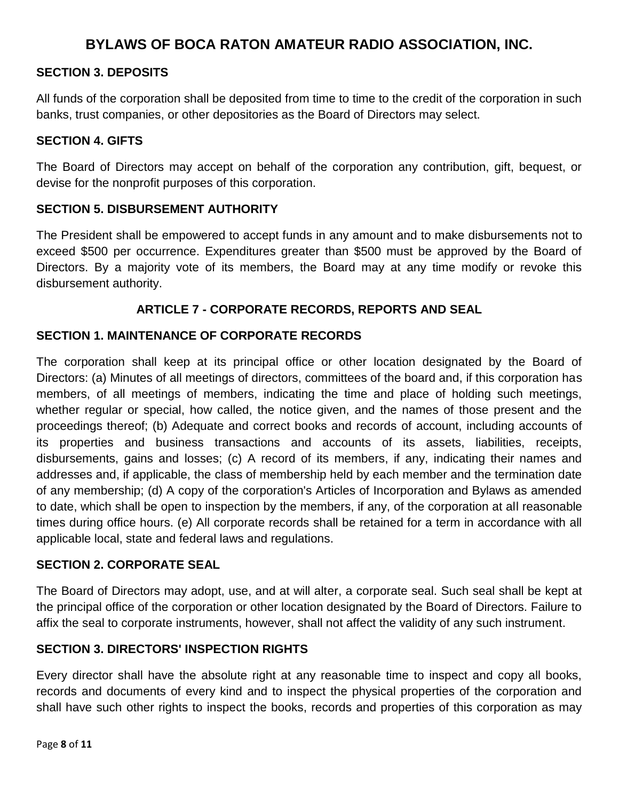#### **SECTION 3. DEPOSITS**

All funds of the corporation shall be deposited from time to time to the credit of the corporation in such banks, trust companies, or other depositories as the Board of Directors may select.

#### **SECTION 4. GIFTS**

The Board of Directors may accept on behalf of the corporation any contribution, gift, bequest, or devise for the nonprofit purposes of this corporation.

#### **SECTION 5. DISBURSEMENT AUTHORITY**

The President shall be empowered to accept funds in any amount and to make disbursements not to exceed \$500 per occurrence. Expenditures greater than \$500 must be approved by the Board of Directors. By a majority vote of its members, the Board may at any time modify or revoke this disbursement authority.

#### **ARTICLE 7 - CORPORATE RECORDS, REPORTS AND SEAL**

#### **SECTION 1. MAINTENANCE OF CORPORATE RECORDS**

The corporation shall keep at its principal office or other location designated by the Board of Directors: (a) Minutes of all meetings of directors, committees of the board and, if this corporation has members, of all meetings of members, indicating the time and place of holding such meetings, whether regular or special, how called, the notice given, and the names of those present and the proceedings thereof; (b) Adequate and correct books and records of account, including accounts of its properties and business transactions and accounts of its assets, liabilities, receipts, disbursements, gains and losses; (c) A record of its members, if any, indicating their names and addresses and, if applicable, the class of membership held by each member and the termination date of any membership; (d) A copy of the corporation's Articles of Incorporation and Bylaws as amended to date, which shall be open to inspection by the members, if any, of the corporation at all reasonable times during office hours. (e) All corporate records shall be retained for a term in accordance with all applicable local, state and federal laws and regulations.

#### **SECTION 2. CORPORATE SEAL**

The Board of Directors may adopt, use, and at will alter, a corporate seal. Such seal shall be kept at the principal office of the corporation or other location designated by the Board of Directors. Failure to affix the seal to corporate instruments, however, shall not affect the validity of any such instrument.

#### **SECTION 3. DIRECTORS' INSPECTION RIGHTS**

Every director shall have the absolute right at any reasonable time to inspect and copy all books, records and documents of every kind and to inspect the physical properties of the corporation and shall have such other rights to inspect the books, records and properties of this corporation as may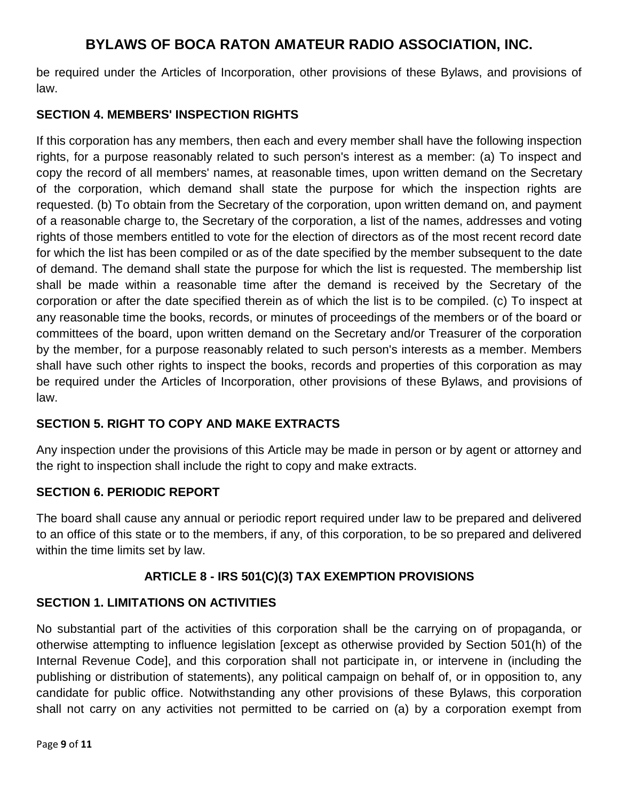be required under the Articles of Incorporation, other provisions of these Bylaws, and provisions of law.

### **SECTION 4. MEMBERS' INSPECTION RIGHTS**

If this corporation has any members, then each and every member shall have the following inspection rights, for a purpose reasonably related to such person's interest as a member: (a) To inspect and copy the record of all members' names, at reasonable times, upon written demand on the Secretary of the corporation, which demand shall state the purpose for which the inspection rights are requested. (b) To obtain from the Secretary of the corporation, upon written demand on, and payment of a reasonable charge to, the Secretary of the corporation, a list of the names, addresses and voting rights of those members entitled to vote for the election of directors as of the most recent record date for which the list has been compiled or as of the date specified by the member subsequent to the date of demand. The demand shall state the purpose for which the list is requested. The membership list shall be made within a reasonable time after the demand is received by the Secretary of the corporation or after the date specified therein as of which the list is to be compiled. (c) To inspect at any reasonable time the books, records, or minutes of proceedings of the members or of the board or committees of the board, upon written demand on the Secretary and/or Treasurer of the corporation by the member, for a purpose reasonably related to such person's interests as a member. Members shall have such other rights to inspect the books, records and properties of this corporation as may be required under the Articles of Incorporation, other provisions of these Bylaws, and provisions of law.

## **SECTION 5. RIGHT TO COPY AND MAKE EXTRACTS**

Any inspection under the provisions of this Article may be made in person or by agent or attorney and the right to inspection shall include the right to copy and make extracts.

## **SECTION 6. PERIODIC REPORT**

The board shall cause any annual or periodic report required under law to be prepared and delivered to an office of this state or to the members, if any, of this corporation, to be so prepared and delivered within the time limits set by law.

## **ARTICLE 8 - IRS 501(C)(3) TAX EXEMPTION PROVISIONS**

### **SECTION 1. LIMITATIONS ON ACTIVITIES**

No substantial part of the activities of this corporation shall be the carrying on of propaganda, or otherwise attempting to influence legislation [except as otherwise provided by Section 501(h) of the Internal Revenue Code], and this corporation shall not participate in, or intervene in (including the publishing or distribution of statements), any political campaign on behalf of, or in opposition to, any candidate for public office. Notwithstanding any other provisions of these Bylaws, this corporation shall not carry on any activities not permitted to be carried on (a) by a corporation exempt from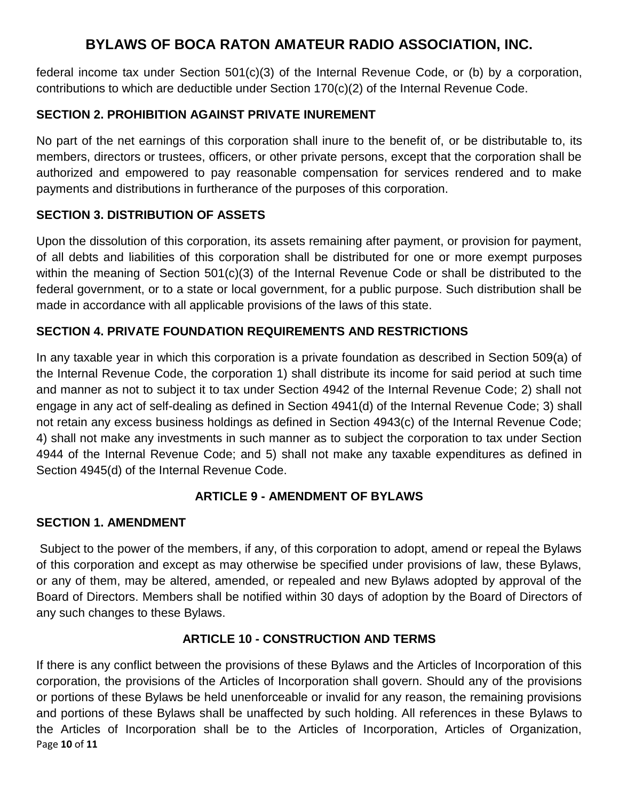federal income tax under Section 501(c)(3) of the Internal Revenue Code, or (b) by a corporation, contributions to which are deductible under Section 170(c)(2) of the Internal Revenue Code.

## **SECTION 2. PROHIBITION AGAINST PRIVATE INUREMENT**

No part of the net earnings of this corporation shall inure to the benefit of, or be distributable to, its members, directors or trustees, officers, or other private persons, except that the corporation shall be authorized and empowered to pay reasonable compensation for services rendered and to make payments and distributions in furtherance of the purposes of this corporation.

### **SECTION 3. DISTRIBUTION OF ASSETS**

Upon the dissolution of this corporation, its assets remaining after payment, or provision for payment, of all debts and liabilities of this corporation shall be distributed for one or more exempt purposes within the meaning of Section 501(c)(3) of the Internal Revenue Code or shall be distributed to the federal government, or to a state or local government, for a public purpose. Such distribution shall be made in accordance with all applicable provisions of the laws of this state.

### **SECTION 4. PRIVATE FOUNDATION REQUIREMENTS AND RESTRICTIONS**

In any taxable year in which this corporation is a private foundation as described in Section 509(a) of the Internal Revenue Code, the corporation 1) shall distribute its income for said period at such time and manner as not to subject it to tax under Section 4942 of the Internal Revenue Code; 2) shall not engage in any act of self-dealing as defined in Section 4941(d) of the Internal Revenue Code; 3) shall not retain any excess business holdings as defined in Section 4943(c) of the Internal Revenue Code; 4) shall not make any investments in such manner as to subject the corporation to tax under Section 4944 of the Internal Revenue Code; and 5) shall not make any taxable expenditures as defined in Section 4945(d) of the Internal Revenue Code.

## **ARTICLE 9 - AMENDMENT OF BYLAWS**

### **SECTION 1. AMENDMENT**

Subject to the power of the members, if any, of this corporation to adopt, amend or repeal the Bylaws of this corporation and except as may otherwise be specified under provisions of law, these Bylaws, or any of them, may be altered, amended, or repealed and new Bylaws adopted by approval of the Board of Directors. Members shall be notified within 30 days of adoption by the Board of Directors of any such changes to these Bylaws.

### **ARTICLE 10 - CONSTRUCTION AND TERMS**

Page **10** of **11** If there is any conflict between the provisions of these Bylaws and the Articles of Incorporation of this corporation, the provisions of the Articles of Incorporation shall govern. Should any of the provisions or portions of these Bylaws be held unenforceable or invalid for any reason, the remaining provisions and portions of these Bylaws shall be unaffected by such holding. All references in these Bylaws to the Articles of Incorporation shall be to the Articles of Incorporation, Articles of Organization,